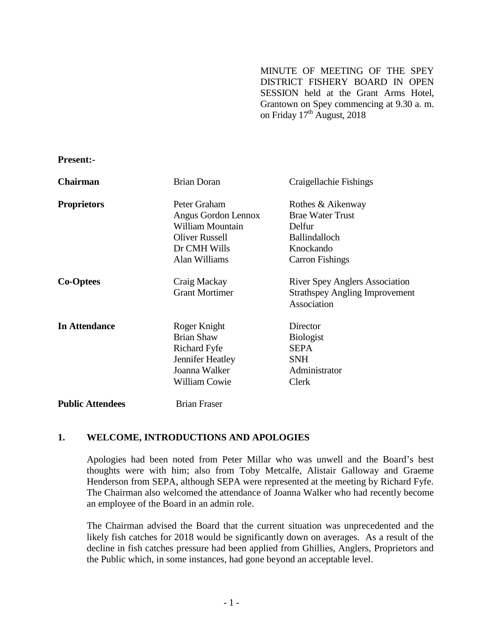MINUTE OF MEETING OF THE SPEY DISTRICT FISHERY BOARD IN OPEN SESSION held at the Grant Arms Hotel, Grantown on Spey commencing at 9.30 a. m. on Friday  $17^{\text{th}}$  August, 2018

**Present:-**

| <b>Chairman</b>         | <b>Brian Doran</b>      | Craigellachie Fishings                               |
|-------------------------|-------------------------|------------------------------------------------------|
| <b>Proprietors</b>      | Peter Graham            | Rothes & Aikenway                                    |
|                         | Angus Gordon Lennox     | <b>Brae Water Trust</b>                              |
|                         | <b>William Mountain</b> | Delfur                                               |
|                         | <b>Oliver Russell</b>   | <b>Ballindalloch</b>                                 |
|                         | Dr CMH Wills            | Knockando                                            |
|                         | Alan Williams           | <b>Carron Fishings</b>                               |
| <b>Co-Optees</b>        | Craig Mackay            | <b>River Spey Anglers Association</b>                |
|                         | <b>Grant Mortimer</b>   | <b>Strathspey Angling Improvement</b><br>Association |
| <b>In Attendance</b>    | Roger Knight            | Director                                             |
|                         | <b>Brian Shaw</b>       | <b>Biologist</b>                                     |
|                         | Richard Fyfe            | <b>SEPA</b>                                          |
|                         | Jennifer Heatley        | <b>SNH</b>                                           |
|                         | Joanna Walker           | Administrator                                        |
|                         | <b>William Cowie</b>    | Clerk                                                |
| <b>Public Attendees</b> | Brian Fraser            |                                                      |

#### **1. WELCOME, INTRODUCTIONS AND APOLOGIES**

Apologies had been noted from Peter Millar who was unwell and the Board's best thoughts were with him; also from Toby Metcalfe, Alistair Galloway and Graeme Henderson from SEPA, although SEPA were represented at the meeting by Richard Fyfe. The Chairman also welcomed the attendance of Joanna Walker who had recently become an employee of the Board in an admin role.

The Chairman advised the Board that the current situation was unprecedented and the likely fish catches for 2018 would be significantly down on averages. As a result of the decline in fish catches pressure had been applied from Ghillies, Anglers, Proprietors and the Public which, in some instances, had gone beyond an acceptable level.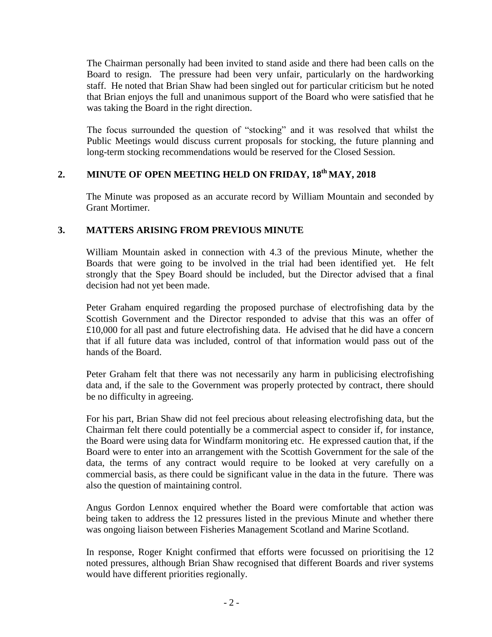The Chairman personally had been invited to stand aside and there had been calls on the Board to resign. The pressure had been very unfair, particularly on the hardworking staff. He noted that Brian Shaw had been singled out for particular criticism but he noted that Brian enjoys the full and unanimous support of the Board who were satisfied that he was taking the Board in the right direction.

The focus surrounded the question of "stocking" and it was resolved that whilst the Public Meetings would discuss current proposals for stocking, the future planning and long-term stocking recommendations would be reserved for the Closed Session.

# **2. MINUTE OF OPEN MEETING HELD ON FRIDAY, 18th MAY, 2018**

The Minute was proposed as an accurate record by William Mountain and seconded by Grant Mortimer.

# **3. MATTERS ARISING FROM PREVIOUS MINUTE**

William Mountain asked in connection with 4.3 of the previous Minute, whether the Boards that were going to be involved in the trial had been identified yet. He felt strongly that the Spey Board should be included, but the Director advised that a final decision had not yet been made.

Peter Graham enquired regarding the proposed purchase of electrofishing data by the Scottish Government and the Director responded to advise that this was an offer of £10,000 for all past and future electrofishing data. He advised that he did have a concern that if all future data was included, control of that information would pass out of the hands of the Board.

Peter Graham felt that there was not necessarily any harm in publicising electrofishing data and, if the sale to the Government was properly protected by contract, there should be no difficulty in agreeing.

For his part, Brian Shaw did not feel precious about releasing electrofishing data, but the Chairman felt there could potentially be a commercial aspect to consider if, for instance, the Board were using data for Windfarm monitoring etc. He expressed caution that, if the Board were to enter into an arrangement with the Scottish Government for the sale of the data, the terms of any contract would require to be looked at very carefully on a commercial basis, as there could be significant value in the data in the future. There was also the question of maintaining control.

Angus Gordon Lennox enquired whether the Board were comfortable that action was being taken to address the 12 pressures listed in the previous Minute and whether there was ongoing liaison between Fisheries Management Scotland and Marine Scotland.

In response, Roger Knight confirmed that efforts were focussed on prioritising the 12 noted pressures, although Brian Shaw recognised that different Boards and river systems would have different priorities regionally.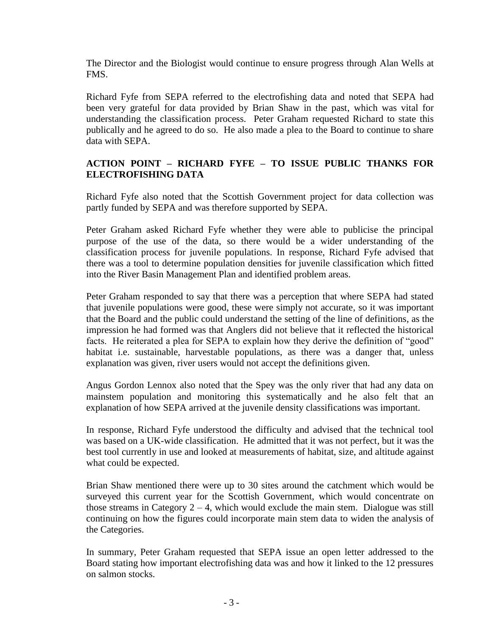The Director and the Biologist would continue to ensure progress through Alan Wells at FMS.

Richard Fyfe from SEPA referred to the electrofishing data and noted that SEPA had been very grateful for data provided by Brian Shaw in the past, which was vital for understanding the classification process. Peter Graham requested Richard to state this publically and he agreed to do so. He also made a plea to the Board to continue to share data with SEPA.

# **ACTION POINT – RICHARD FYFE – TO ISSUE PUBLIC THANKS FOR ELECTROFISHING DATA**

Richard Fyfe also noted that the Scottish Government project for data collection was partly funded by SEPA and was therefore supported by SEPA.

Peter Graham asked Richard Fyfe whether they were able to publicise the principal purpose of the use of the data, so there would be a wider understanding of the classification process for juvenile populations. In response, Richard Fyfe advised that there was a tool to determine population densities for juvenile classification which fitted into the River Basin Management Plan and identified problem areas.

Peter Graham responded to say that there was a perception that where SEPA had stated that juvenile populations were good, these were simply not accurate, so it was important that the Board and the public could understand the setting of the line of definitions, as the impression he had formed was that Anglers did not believe that it reflected the historical facts. He reiterated a plea for SEPA to explain how they derive the definition of "good" habitat i.e. sustainable, harvestable populations, as there was a danger that, unless explanation was given, river users would not accept the definitions given.

Angus Gordon Lennox also noted that the Spey was the only river that had any data on mainstem population and monitoring this systematically and he also felt that an explanation of how SEPA arrived at the juvenile density classifications was important.

In response, Richard Fyfe understood the difficulty and advised that the technical tool was based on a UK-wide classification. He admitted that it was not perfect, but it was the best tool currently in use and looked at measurements of habitat, size, and altitude against what could be expected.

Brian Shaw mentioned there were up to 30 sites around the catchment which would be surveyed this current year for the Scottish Government, which would concentrate on those streams in Category  $2 - 4$ , which would exclude the main stem. Dialogue was still continuing on how the figures could incorporate main stem data to widen the analysis of the Categories.

In summary, Peter Graham requested that SEPA issue an open letter addressed to the Board stating how important electrofishing data was and how it linked to the 12 pressures on salmon stocks.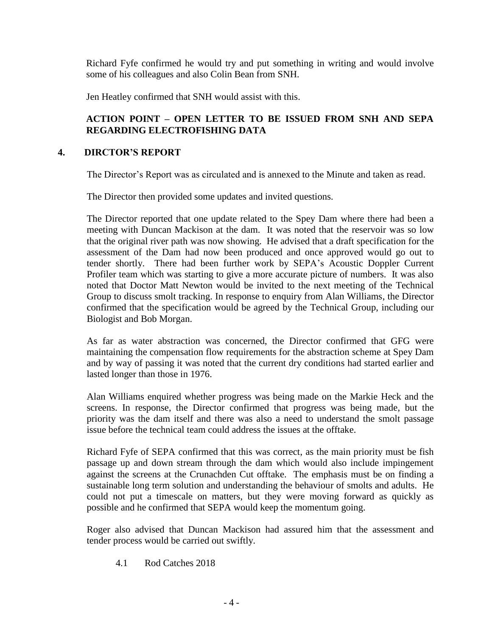Richard Fyfe confirmed he would try and put something in writing and would involve some of his colleagues and also Colin Bean from SNH.

Jen Heatley confirmed that SNH would assist with this.

# **ACTION POINT – OPEN LETTER TO BE ISSUED FROM SNH AND SEPA REGARDING ELECTROFISHING DATA**

## **4. DIRCTOR'S REPORT**

The Director's Report was as circulated and is annexed to the Minute and taken as read.

The Director then provided some updates and invited questions.

The Director reported that one update related to the Spey Dam where there had been a meeting with Duncan Mackison at the dam. It was noted that the reservoir was so low that the original river path was now showing. He advised that a draft specification for the assessment of the Dam had now been produced and once approved would go out to tender shortly. There had been further work by SEPA's Acoustic Doppler Current Profiler team which was starting to give a more accurate picture of numbers. It was also noted that Doctor Matt Newton would be invited to the next meeting of the Technical Group to discuss smolt tracking. In response to enquiry from Alan Williams, the Director confirmed that the specification would be agreed by the Technical Group, including our Biologist and Bob Morgan.

As far as water abstraction was concerned, the Director confirmed that GFG were maintaining the compensation flow requirements for the abstraction scheme at Spey Dam and by way of passing it was noted that the current dry conditions had started earlier and lasted longer than those in 1976.

Alan Williams enquired whether progress was being made on the Markie Heck and the screens. In response, the Director confirmed that progress was being made, but the priority was the dam itself and there was also a need to understand the smolt passage issue before the technical team could address the issues at the offtake.

Richard Fyfe of SEPA confirmed that this was correct, as the main priority must be fish passage up and down stream through the dam which would also include impingement against the screens at the Crunachden Cut offtake. The emphasis must be on finding a sustainable long term solution and understanding the behaviour of smolts and adults. He could not put a timescale on matters, but they were moving forward as quickly as possible and he confirmed that SEPA would keep the momentum going.

Roger also advised that Duncan Mackison had assured him that the assessment and tender process would be carried out swiftly.

4.1 Rod Catches 2018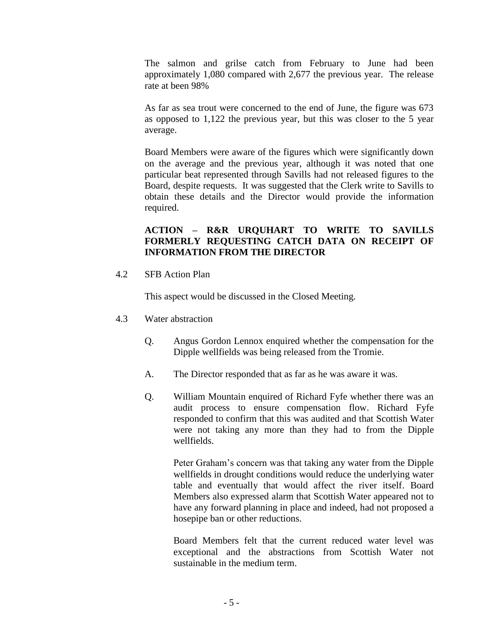The salmon and grilse catch from February to June had been approximately 1,080 compared with 2,677 the previous year. The release rate at been 98%

As far as sea trout were concerned to the end of June, the figure was 673 as opposed to 1,122 the previous year, but this was closer to the 5 year average.

Board Members were aware of the figures which were significantly down on the average and the previous year, although it was noted that one particular beat represented through Savills had not released figures to the Board, despite requests. It was suggested that the Clerk write to Savills to obtain these details and the Director would provide the information required.

## **ACTION – R&R URQUHART TO WRITE TO SAVILLS FORMERLY REQUESTING CATCH DATA ON RECEIPT OF INFORMATION FROM THE DIRECTOR**

4.2 SFB Action Plan

This aspect would be discussed in the Closed Meeting.

- 4.3 Water abstraction
	- Q. Angus Gordon Lennox enquired whether the compensation for the Dipple wellfields was being released from the Tromie.
	- A. The Director responded that as far as he was aware it was.
	- Q. William Mountain enquired of Richard Fyfe whether there was an audit process to ensure compensation flow. Richard Fyfe responded to confirm that this was audited and that Scottish Water were not taking any more than they had to from the Dipple wellfields.

Peter Graham's concern was that taking any water from the Dipple wellfields in drought conditions would reduce the underlying water table and eventually that would affect the river itself. Board Members also expressed alarm that Scottish Water appeared not to have any forward planning in place and indeed, had not proposed a hosepipe ban or other reductions.

Board Members felt that the current reduced water level was exceptional and the abstractions from Scottish Water not sustainable in the medium term.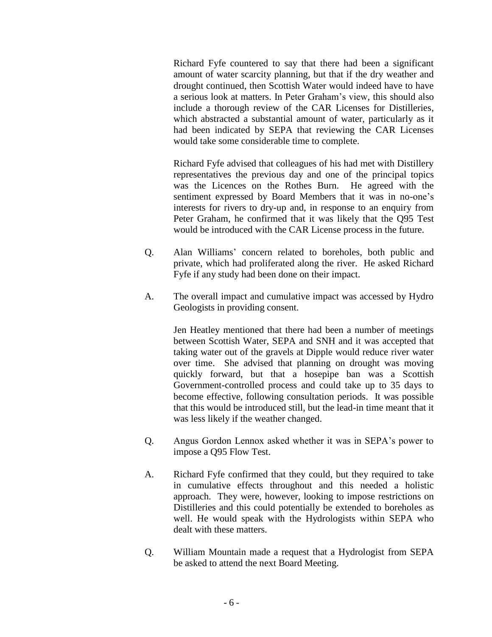Richard Fyfe countered to say that there had been a significant amount of water scarcity planning, but that if the dry weather and drought continued, then Scottish Water would indeed have to have a serious look at matters. In Peter Graham's view, this should also include a thorough review of the CAR Licenses for Distilleries, which abstracted a substantial amount of water, particularly as it had been indicated by SEPA that reviewing the CAR Licenses would take some considerable time to complete.

Richard Fyfe advised that colleagues of his had met with Distillery representatives the previous day and one of the principal topics was the Licences on the Rothes Burn. He agreed with the sentiment expressed by Board Members that it was in no-one's interests for rivers to dry-up and, in response to an enquiry from Peter Graham, he confirmed that it was likely that the Q95 Test would be introduced with the CAR License process in the future.

- Q. Alan Williams' concern related to boreholes, both public and private, which had proliferated along the river. He asked Richard Fyfe if any study had been done on their impact.
- A. The overall impact and cumulative impact was accessed by Hydro Geologists in providing consent.

Jen Heatley mentioned that there had been a number of meetings between Scottish Water, SEPA and SNH and it was accepted that taking water out of the gravels at Dipple would reduce river water over time. She advised that planning on drought was moving quickly forward, but that a hosepipe ban was a Scottish Government-controlled process and could take up to 35 days to become effective, following consultation periods. It was possible that this would be introduced still, but the lead-in time meant that it was less likely if the weather changed.

- Q. Angus Gordon Lennox asked whether it was in SEPA's power to impose a Q95 Flow Test.
- A. Richard Fyfe confirmed that they could, but they required to take in cumulative effects throughout and this needed a holistic approach. They were, however, looking to impose restrictions on Distilleries and this could potentially be extended to boreholes as well. He would speak with the Hydrologists within SEPA who dealt with these matters.
- Q. William Mountain made a request that a Hydrologist from SEPA be asked to attend the next Board Meeting.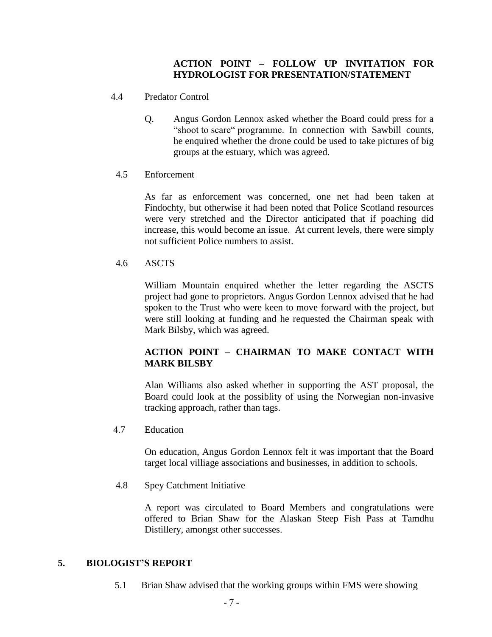## **ACTION POINT – FOLLOW UP INVITATION FOR HYDROLOGIST FOR PRESENTATION/STATEMENT**

- 4.4 Predator Control
	- Q. Angus Gordon Lennox asked whether the Board could press for a "shoot to scare" programme. In connection with Sawbill counts, he enquired whether the drone could be used to take pictures of big groups at the estuary, which was agreed.
	- 4.5 Enforcement

As far as enforcement was concerned, one net had been taken at Findochty, but otherwise it had been noted that Police Scotland resources were very stretched and the Director anticipated that if poaching did increase, this would become an issue. At current levels, there were simply not sufficient Police numbers to assist.

## 4.6 ASCTS

William Mountain enquired whether the letter regarding the ASCTS project had gone to proprietors. Angus Gordon Lennox advised that he had spoken to the Trust who were keen to move forward with the project, but were still looking at funding and he requested the Chairman speak with Mark Bilsby, which was agreed.

# **ACTION POINT – CHAIRMAN TO MAKE CONTACT WITH MARK BILSBY**

Alan Williams also asked whether in supporting the AST proposal, the Board could look at the possiblity of using the Norwegian non-invasive tracking approach, rather than tags.

4.7 Education

On education, Angus Gordon Lennox felt it was important that the Board target local villiage associations and businesses, in addition to schools.

4.8 Spey Catchment Initiative

A report was circulated to Board Members and congratulations were offered to Brian Shaw for the Alaskan Steep Fish Pass at Tamdhu Distillery, amongst other successes.

#### **5. BIOLOGIST'S REPORT**

5.1 Brian Shaw advised that the working groups within FMS were showing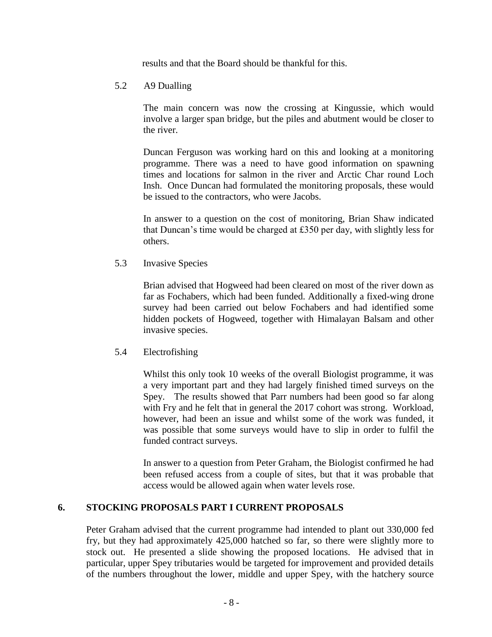results and that the Board should be thankful for this.

#### 5.2 A9 Dualling

The main concern was now the crossing at Kingussie, which would involve a larger span bridge, but the piles and abutment would be closer to the river.

Duncan Ferguson was working hard on this and looking at a monitoring programme. There was a need to have good information on spawning times and locations for salmon in the river and Arctic Char round Loch Insh. Once Duncan had formulated the monitoring proposals, these would be issued to the contractors, who were Jacobs.

In answer to a question on the cost of monitoring, Brian Shaw indicated that Duncan's time would be charged at £350 per day, with slightly less for others.

5.3 Invasive Species

Brian advised that Hogweed had been cleared on most of the river down as far as Fochabers, which had been funded. Additionally a fixed-wing drone survey had been carried out below Fochabers and had identified some hidden pockets of Hogweed, together with Himalayan Balsam and other invasive species.

#### 5.4 Electrofishing

Whilst this only took 10 weeks of the overall Biologist programme, it was a very important part and they had largely finished timed surveys on the Spey. The results showed that Parr numbers had been good so far along with Fry and he felt that in general the 2017 cohort was strong. Workload, however, had been an issue and whilst some of the work was funded, it was possible that some surveys would have to slip in order to fulfil the funded contract surveys.

In answer to a question from Peter Graham, the Biologist confirmed he had been refused access from a couple of sites, but that it was probable that access would be allowed again when water levels rose.

#### **6. STOCKING PROPOSALS PART I CURRENT PROPOSALS**

Peter Graham advised that the current programme had intended to plant out 330,000 fed fry, but they had approximately 425,000 hatched so far, so there were slightly more to stock out. He presented a slide showing the proposed locations. He advised that in particular, upper Spey tributaries would be targeted for improvement and provided details of the numbers throughout the lower, middle and upper Spey, with the hatchery source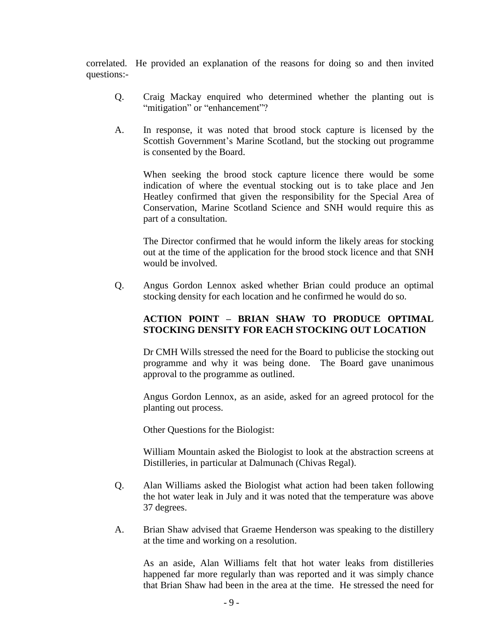correlated. He provided an explanation of the reasons for doing so and then invited questions:-

- Q. Craig Mackay enquired who determined whether the planting out is "mitigation" or "enhancement"?
- A. In response, it was noted that brood stock capture is licensed by the Scottish Government's Marine Scotland, but the stocking out programme is consented by the Board.

When seeking the brood stock capture licence there would be some indication of where the eventual stocking out is to take place and Jen Heatley confirmed that given the responsibility for the Special Area of Conservation, Marine Scotland Science and SNH would require this as part of a consultation.

The Director confirmed that he would inform the likely areas for stocking out at the time of the application for the brood stock licence and that SNH would be involved.

Q. Angus Gordon Lennox asked whether Brian could produce an optimal stocking density for each location and he confirmed he would do so.

## **ACTION POINT – BRIAN SHAW TO PRODUCE OPTIMAL STOCKING DENSITY FOR EACH STOCKING OUT LOCATION**

Dr CMH Wills stressed the need for the Board to publicise the stocking out programme and why it was being done. The Board gave unanimous approval to the programme as outlined.

Angus Gordon Lennox, as an aside, asked for an agreed protocol for the planting out process.

Other Questions for the Biologist:

William Mountain asked the Biologist to look at the abstraction screens at Distilleries, in particular at Dalmunach (Chivas Regal).

- Q. Alan Williams asked the Biologist what action had been taken following the hot water leak in July and it was noted that the temperature was above 37 degrees.
- A. Brian Shaw advised that Graeme Henderson was speaking to the distillery at the time and working on a resolution.

As an aside, Alan Williams felt that hot water leaks from distilleries happened far more regularly than was reported and it was simply chance that Brian Shaw had been in the area at the time. He stressed the need for